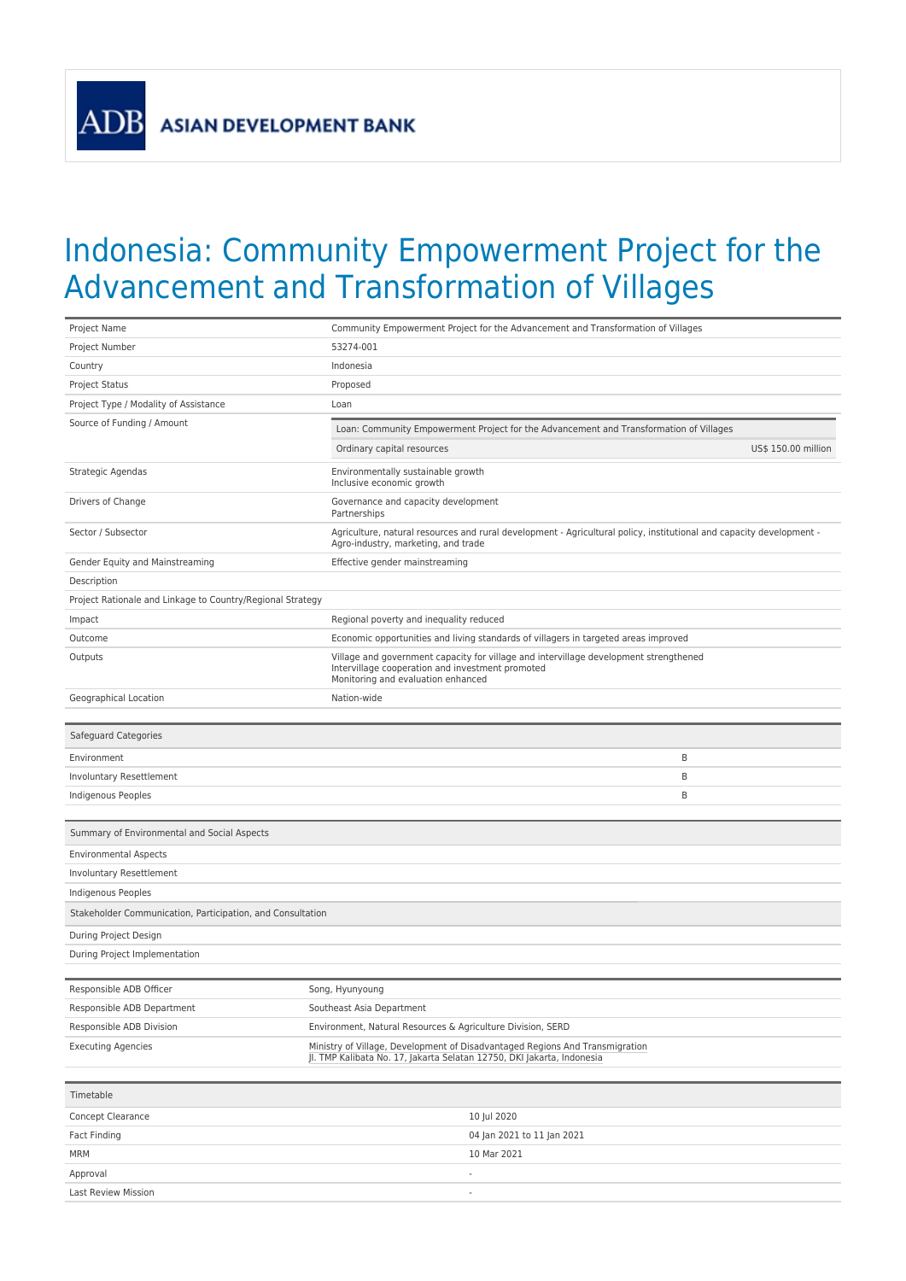**ADB** 

## Indonesia: Community Empowerment Project for the Advancement and Transformation of Villages

| Project Name                                               | Community Empowerment Project for the Advancement and Transformation of Villages                                                                                                |  |
|------------------------------------------------------------|---------------------------------------------------------------------------------------------------------------------------------------------------------------------------------|--|
| Project Number                                             | 53274-001                                                                                                                                                                       |  |
| Country                                                    | Indonesia                                                                                                                                                                       |  |
| <b>Project Status</b>                                      | Proposed                                                                                                                                                                        |  |
| Project Type / Modality of Assistance                      | Loan                                                                                                                                                                            |  |
| Source of Funding / Amount                                 | Loan: Community Empowerment Project for the Advancement and Transformation of Villages                                                                                          |  |
|                                                            | Ordinary capital resources<br>US\$ 150.00 million                                                                                                                               |  |
| Strategic Agendas                                          | Environmentally sustainable growth<br>Inclusive economic growth                                                                                                                 |  |
| Drivers of Change                                          | Governance and capacity development<br>Partnerships                                                                                                                             |  |
| Sector / Subsector                                         | Agriculture, natural resources and rural development - Agricultural policy, institutional and capacity development -<br>Agro-industry, marketing, and trade                     |  |
| Gender Equity and Mainstreaming                            | Effective gender mainstreaming                                                                                                                                                  |  |
| Description                                                |                                                                                                                                                                                 |  |
| Project Rationale and Linkage to Country/Regional Strategy |                                                                                                                                                                                 |  |
| Impact                                                     | Regional poverty and inequality reduced                                                                                                                                         |  |
| Outcome                                                    | Economic opportunities and living standards of villagers in targeted areas improved                                                                                             |  |
| Outputs                                                    | Village and government capacity for village and intervillage development strengthened<br>Intervillage cooperation and investment promoted<br>Monitoring and evaluation enhanced |  |
| Geographical Location                                      | Nation-wide                                                                                                                                                                     |  |
|                                                            |                                                                                                                                                                                 |  |
| Safeguard Categories                                       |                                                                                                                                                                                 |  |
| Environment                                                | B                                                                                                                                                                               |  |
| Involuntary Resettlement                                   | B                                                                                                                                                                               |  |
| Indigenous Peoples                                         | B                                                                                                                                                                               |  |
|                                                            |                                                                                                                                                                                 |  |
| Summary of Environmental and Social Aspects                |                                                                                                                                                                                 |  |
| <b>Environmental Aspects</b>                               |                                                                                                                                                                                 |  |
| Involuntary Resettlement                                   |                                                                                                                                                                                 |  |
| Indigenous Peoples                                         |                                                                                                                                                                                 |  |
| Stakeholder Communication, Participation, and Consultation |                                                                                                                                                                                 |  |
| During Project Design                                      |                                                                                                                                                                                 |  |
| During Project Implementation                              |                                                                                                                                                                                 |  |
|                                                            |                                                                                                                                                                                 |  |
| Responsible ADB Officer                                    | Song, Hyunyoung                                                                                                                                                                 |  |
| Responsible ADB Department                                 | Southeast Asia Department                                                                                                                                                       |  |
| Responsible ADB Division                                   | Environment, Natural Resources & Agriculture Division, SERD                                                                                                                     |  |
| <b>Executing Agencies</b>                                  | Ministry of Village, Development of Disadvantaged Regions And Transmigration<br>JI. TMP Kalibata No. 17, Jakarta Selatan 12750, DKI Jakarta, Indonesia                          |  |
| Timetable                                                  |                                                                                                                                                                                 |  |
|                                                            |                                                                                                                                                                                 |  |
| Concept Clearance                                          | 10 Jul 2020                                                                                                                                                                     |  |

| Fact Finding        | 04 Jan 2021 to 11 Jan 2021 |
|---------------------|----------------------------|
| <b>MRM</b>          | 10 Mar 2021                |
| Approval            |                            |
| Last Review Mission | $\overline{\phantom{a}}$   |